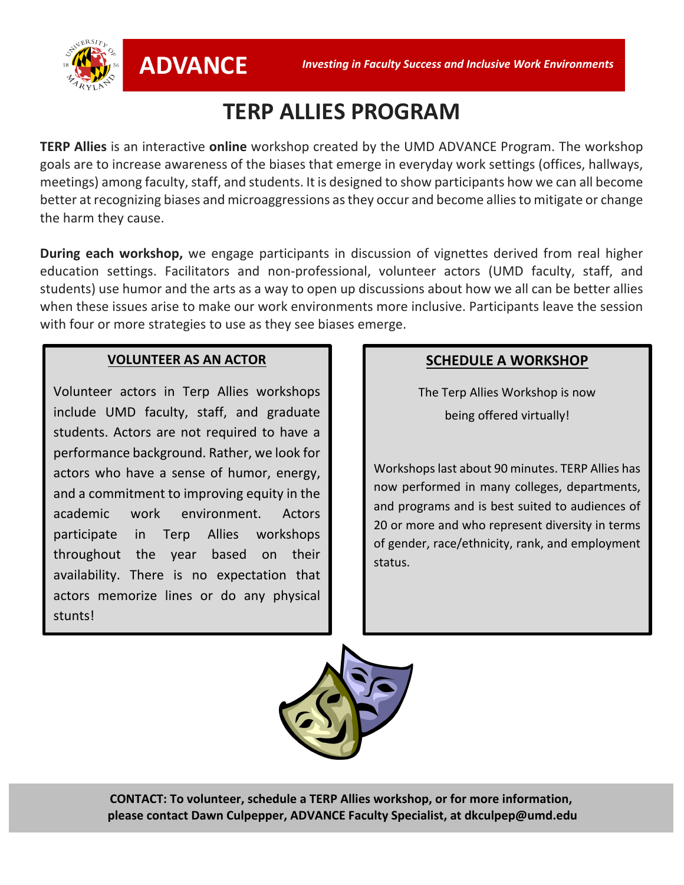

# **TERP ALLIES PROGRAM**

**TERP Allies** is an interactive **online** workshop created by the UMD ADVANCE Program. The workshop goals are to increase awareness of the biases that emerge in everyday work settings (offices, hallways, meetings) among faculty, staff, and students. It is designed to show participants how we can all become better at recognizing biases and microaggressions as they occur and become alliesto mitigate or change the harm they cause.

**During each workshop,** we engage participants in discussion of vignettes derived from real higher education settings. Facilitators and non-professional, volunteer actors (UMD faculty, staff, and students) use humor and the arts as a way to open up discussions about how we all can be better allies when these issues arise to make our work environments more inclusive. Participants leave the session with four or more strategies to use as they see biases emerge.

#### **VOLUNTEER AS AN ACTOR**

Volunteer actors in Terp Allies workshops include UMD faculty, staff, and graduate students. Actors are not required to have a performance background. Rather, we look for actors who have a sense of humor, energy, and a commitment to improving equity in the academic work environment. Actors participate in Terp Allies workshops throughout the year based on their availability. There is no expectation that actors memorize lines or do any physical stunts!

#### **SCHEDULE A WORKSHOP**

The Terp Allies Workshop is now being offered virtually!

Workshops last about 90 minutes. TERP Allies has now performed in many colleges, departments, and programs and is best suited to audiences of 20 or more and who represent diversity in terms of gender, race/ethnicity, rank, and employment status.



**TERP ALLIES FAQ CONTACT: To volunteer, schedule a TERP Allies workshop, or for more information, please contact Dawn Culpepper, ADVANCE Faculty Specialist, at dkculpep@umd.edu**